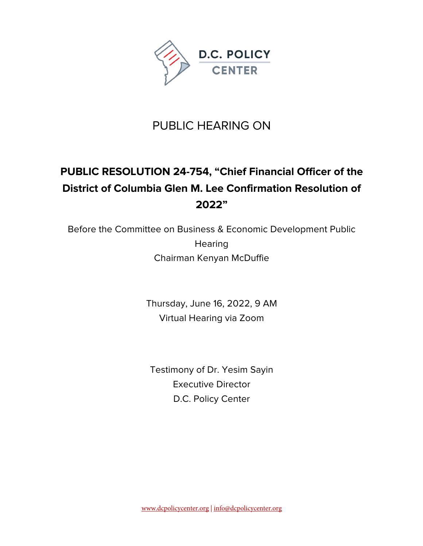

## PUBLIC HEARING ON

## **PUBLIC RESOLUTION 24-754, "Chief Financial Officer of the District of Columbia Glen M. Lee Confirmation Resolution of 2022"**

Before the Committee on Business & Economic Development Public **Hearing** Chairman Kenyan McDuffie

> Thursday, June 16, 2022, 9 AM Virtual Hearing via Zoom

Testimony of Dr. Yesim Sayin Executive Director D.C. Policy Center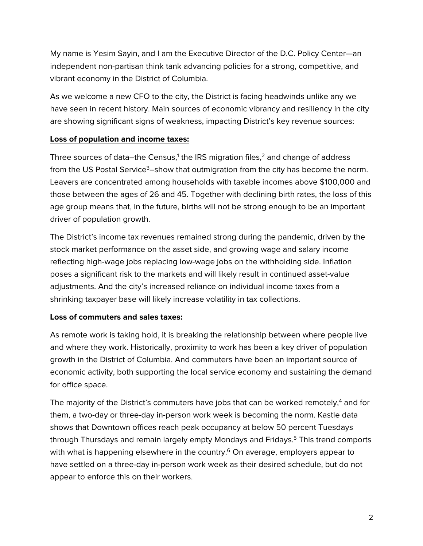My name is Yesim Sayin, and I am the Executive Director of the D.C. Policy Center—an independent non-partisan think tank advancing policies for a strong, competitive, and vibrant economy in the District of Columbia.

As we welcome a new CFO to the city, the District is facing headwinds unlike any we have seen in recent history. Main sources of economic vibrancy and resiliency in the city are showing significant signs of weakness, impacting District's key revenue sources:

#### **Loss of population and income taxes:**

Three sources of data–the Census,<sup>1</sup> the IRS migration files, $2$  and change of address from the US Postal Service<sup>3</sup>–show that outmigration from the city has become the norm. Leavers are concentrated among households with taxable incomes above \$100,000 and those between the ages of 26 and 45. Together with declining birth rates, the loss of this age group means that, in the future, births will not be strong enough to be an important driver of population growth.

The District's income tax revenues remained strong during the pandemic, driven by the stock market performance on the asset side, and growing wage and salary income reflecting high-wage jobs replacing low-wage jobs on the withholding side. Inflation poses a significant risk to the markets and will likely result in continued asset-value adjustments. And the city's increased reliance on individual income taxes from a shrinking taxpayer base will likely increase volatility in tax collections.

### **Loss of commuters and sales taxes:**

As remote work is taking hold, it is breaking the relationship between where people live and where they work. Historically, proximity to work has been a key driver of population growth in the District of Columbia. And commuters have been an important source of economic activity, both supporting the local service economy and sustaining the demand for office space.

The majority of the District's commuters have jobs that can be worked remotely, $4$  and for them, a two-day or three-day in-person work week is becoming the norm. Kastle data shows that Downtown offices reach peak occupancy at below 50 percent Tuesdays through Thursdays and remain largely empty Mondays and Fridays. <sup>5</sup> This trend comports with what is happening elsewhere in the country.<sup>6</sup> On average, employers appear to have settled on a three-day in-person work week as their desired schedule, but do not appear to enforce this on their workers.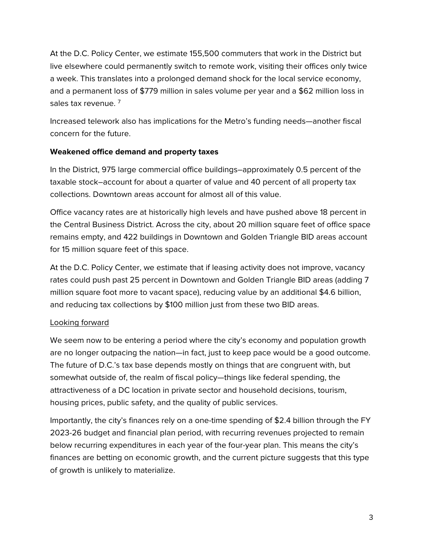At the D.C. Policy Center, we estimate 155,500 commuters that work in the District but live elsewhere could permanently switch to remote work, visiting their offices only twice a week. This translates into a prolonged demand shock for the local service economy, and a permanent loss of \$779 million in sales volume per year and a \$62 million loss in sales tax revenue. 7

Increased telework also has implications for the Metro's funding needs—another fiscal concern for the future.

#### **Weakened office demand and property taxes**

In the District, 975 large commercial office buildings–approximately 0.5 percent of the taxable stock–account for about a quarter of value and 40 percent of all property tax collections. Downtown areas account for almost all of this value.

Office vacancy rates are at historically high levels and have pushed above 18 percent in the Central Business District. Across the city, about 20 million square feet of office space remains empty, and 422 buildings in Downtown and Golden Triangle BID areas account for 15 million square feet of this space.

At the D.C. Policy Center, we estimate that if leasing activity does not improve, vacancy rates could push past 25 percent in Downtown and Golden Triangle BID areas (adding 7 million square foot more to vacant space), reducing value by an additional \$4.6 billion, and reducing tax collections by \$100 million just from these two BID areas.

### Looking forward

We seem now to be entering a period where the city's economy and population growth are no longer outpacing the nation—in fact, just to keep pace would be a good outcome. The future of D.C.'s tax base depends mostly on things that are congruent with, but somewhat outside of, the realm of fiscal policy—things like federal spending, the attractiveness of a DC location in private sector and household decisions, tourism, housing prices, public safety, and the quality of public services.

Importantly, the city's finances rely on a one-time spending of \$2.4 billion through the FY 2023-26 budget and financial plan period, with recurring revenues projected to remain below recurring expenditures in each year of the four-year plan. This means the city's finances are betting on economic growth, and the current picture suggests that this type of growth is unlikely to materialize.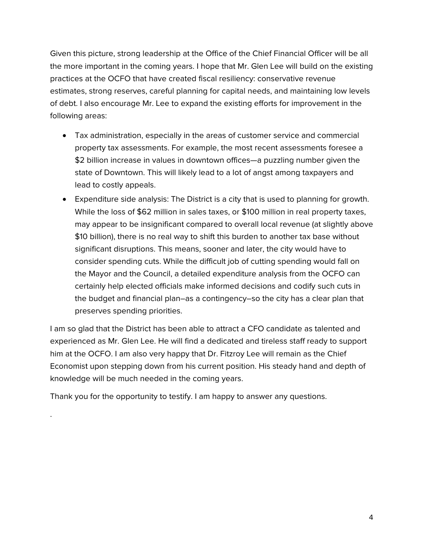Given this picture, strong leadership at the Office of the Chief Financial Officer will be all the more important in the coming years. I hope that Mr. Glen Lee will build on the existing practices at the OCFO that have created fiscal resiliency: conservative revenue estimates, strong reserves, careful planning for capital needs, and maintaining low levels of debt. I also encourage Mr. Lee to expand the existing efforts for improvement in the following areas:

- Tax administration, especially in the areas of customer service and commercial property tax assessments. For example, the most recent assessments foresee a \$2 billion increase in values in downtown offices—a puzzling number given the state of Downtown. This will likely lead to a lot of angst among taxpayers and lead to costly appeals.
- Expenditure side analysis: The District is a city that is used to planning for growth. While the loss of \$62 million in sales taxes, or \$100 million in real property taxes, may appear to be insignificant compared to overall local revenue (at slightly above \$10 billion), there is no real way to shift this burden to another tax base without significant disruptions. This means, sooner and later, the city would have to consider spending cuts. While the difficult job of cutting spending would fall on the Mayor and the Council, a detailed expenditure analysis from the OCFO can certainly help elected officials make informed decisions and codify such cuts in the budget and financial plan–as a contingency–so the city has a clear plan that preserves spending priorities.

I am so glad that the District has been able to attract a CFO candidate as talented and experienced as Mr. Glen Lee. He will find a dedicated and tireless staff ready to support him at the OCFO. I am also very happy that Dr. Fitzroy Lee will remain as the Chief Economist upon stepping down from his current position. His steady hand and depth of knowledge will be much needed in the coming years.

Thank you for the opportunity to testify. I am happy to answer any questions.

.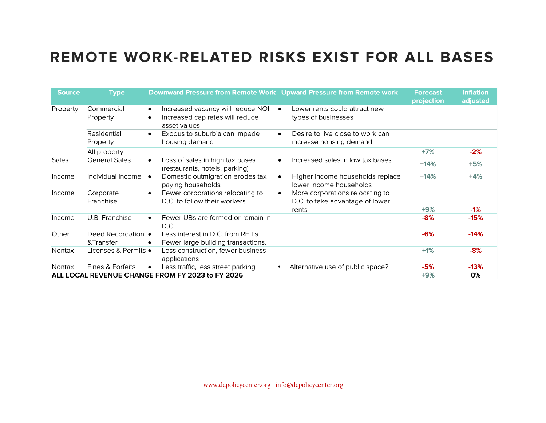# **REMOTE WORK-RELATED RISKS EXIST FOR ALL BASES**

| <b>Source</b>                                    | <b>Type</b>             | Downward Pressure from Remote Work Upward Pressure from Remote work                               |                                                                          | <b>Forecast</b><br>projection | <b>Inflation</b><br>adjusted |
|--------------------------------------------------|-------------------------|---------------------------------------------------------------------------------------------------|--------------------------------------------------------------------------|-------------------------------|------------------------------|
| Property                                         | Commercial<br>Property  | Increased vacancy will reduce NOI<br>$\bullet$<br>Increased cap rates will reduce<br>asset values | Lower rents could attract new<br>$\bullet$<br>types of businesses        |                               |                              |
|                                                  | Residential<br>Property | Exodus to suburbia can impede<br>$\bullet$<br>housing demand                                      | Desire to live close to work can<br>$\bullet$<br>increase housing demand |                               |                              |
|                                                  | All property            |                                                                                                   |                                                                          | $+7%$                         | $-2%$                        |
| <b>Sales</b>                                     | <b>General Sales</b>    | Loss of sales in high tax bases<br>$\bullet$<br>(restaurants, hotels, parking)                    | Increased sales in low tax bases<br>$\bullet$                            | $+14%$                        | $+5%$                        |
| Income                                           | Individual Income       | Domestic outmigration erodes tax<br>paying households                                             | Higher income households replace<br>$\bullet$<br>lower income households | $+14%$                        | $+4%$                        |
| Income                                           | Corporate               | Fewer corporations relocating to<br>$\bullet$                                                     | More corporations relocating to<br>$\bullet$                             |                               |                              |
|                                                  | Franchise               | D.C. to follow their workers                                                                      | D.C. to take advantage of lower                                          |                               |                              |
|                                                  |                         |                                                                                                   | rents                                                                    | $+9%$                         | $-1\%$                       |
| Income                                           | U.B. Franchise          | Fewer UBs are formed or remain in<br>$\bullet$<br>D.C.                                            |                                                                          | $-8%$                         | $-15%$                       |
| Other                                            | Deed Recordation •      | Less interest in D.C. from REITs                                                                  |                                                                          | $-6%$                         | $-14%$                       |
|                                                  | &Transfer               | Fewer large building transactions.                                                                |                                                                          |                               |                              |
| Nontax                                           | Licenses & Permits •    | Less construction, fewer business<br>applications                                                 |                                                                          | $+1%$                         | $-8%$                        |
| Nontax                                           | Fines & Forfeits        | Less traffic, less street parking                                                                 | Alternative use of public space?<br>$\bullet$                            | -5%                           | $-13%$                       |
| ALL LOCAL REVENUE CHANGE FROM FY 2023 to FY 2026 |                         |                                                                                                   |                                                                          | $+9%$                         | 0%                           |